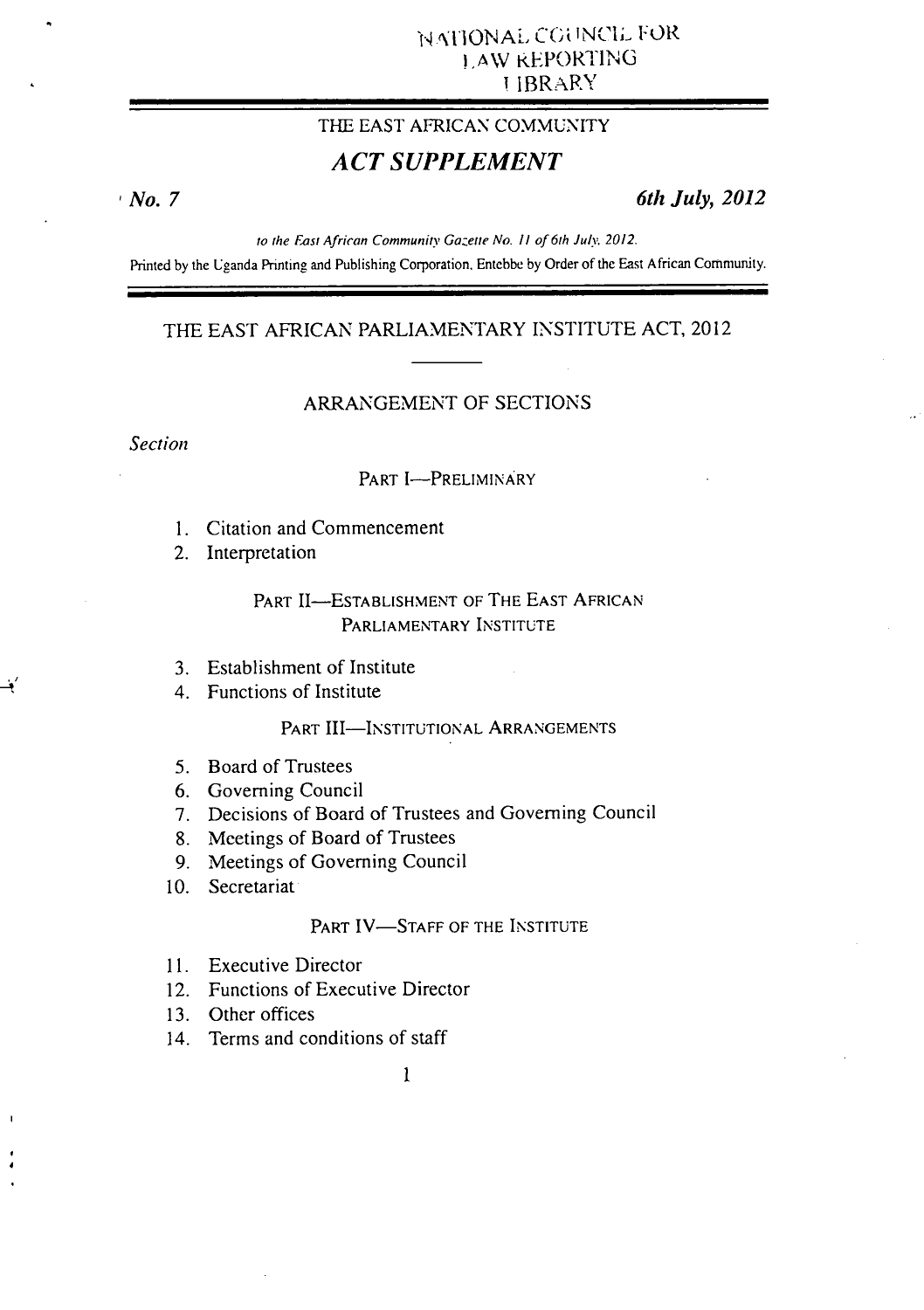## THE EAST AFRICAN COMMUNITY

# *ACT SUPPLEMENT*

*No. 7 6th July, 2012* 

to the East African Community Gazette No. 11 of 6th July. 2012.

Printed by the Uganda Printing and Publishing Corporation. Entchbe by Order of the East African Community.

### THE EAST AFRICAN PARLIAMENTARY INSTITUTE ACT, 2012

### ARRANGEMENT OF SECTIONS

#### *Section*

#### PART **I-PRELIMINARY**

Citation and Commencement

2. Interpretation

### PART 11—ESTABLISHMENT **OF THE EAST AFRICAN PARLIAMENTARY** INSTITUTE

- Establishment of Institute
- Functions of Institute

#### PART III-INSTITUTIONAL ARRANGEMENTS

- 5. Board of Trustees
- 6. Governing Council
- Decisions of Board of Trustees and Governing Council
- Meetings of Board of Trustees
- 9. Meetings of Governing Council
- 10. Secretariat

#### PART IV-STAFF OF THE INSTITUTE

- 11. Executive Director
- 12. Functions of Executive Director
- Other offices
- 14. Terms and conditions of staff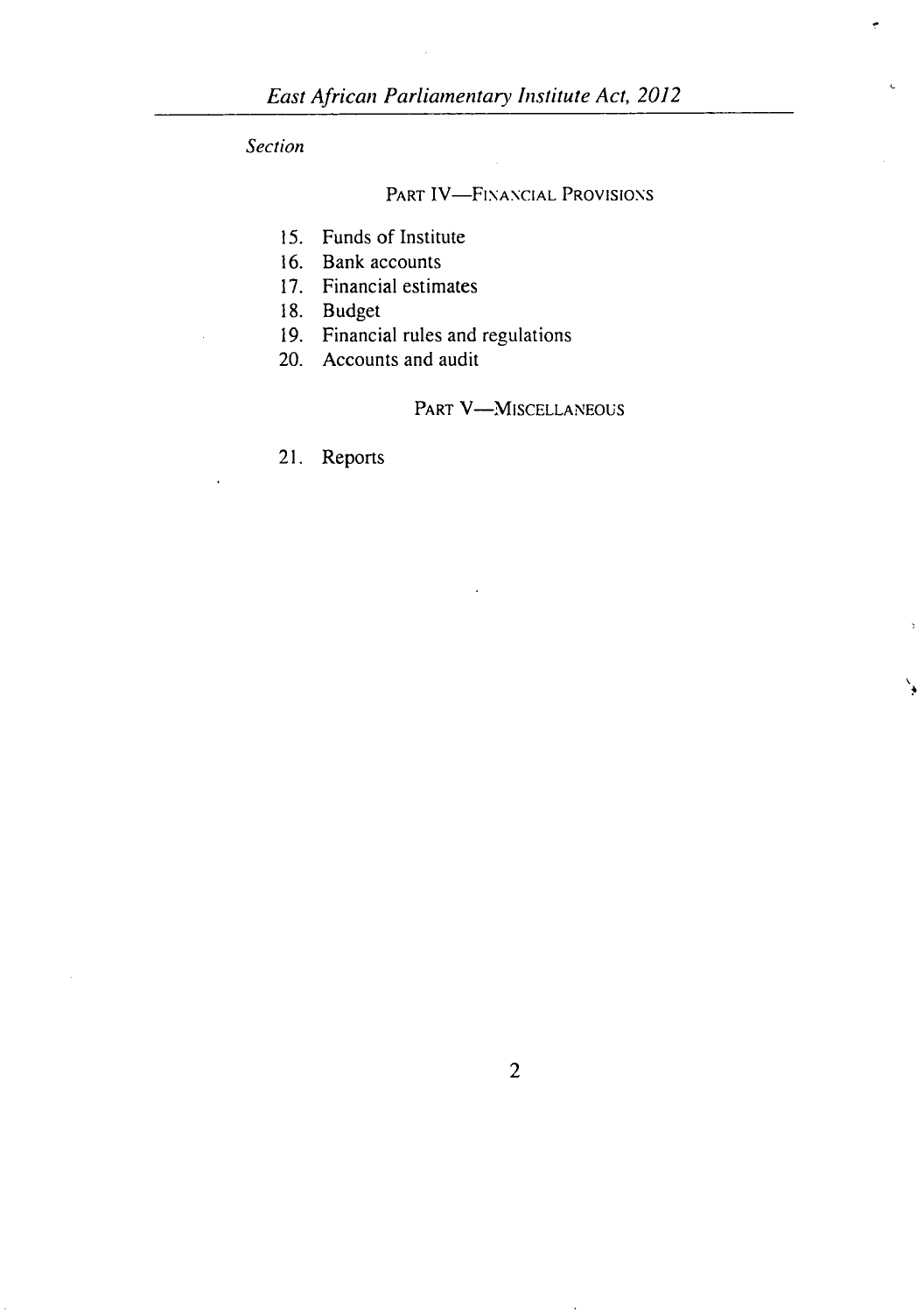*Section* 

## PART IV—FINANCIAL PROVISIONS

- 15. Funds of Institute
- 16. Bank accounts
- 17. Financial estimates
- 18. Budget
- 19. Financial rules and regulations
- 20. Accounts and audit

PART V-MISCELLANEOUS

٧

21. Reports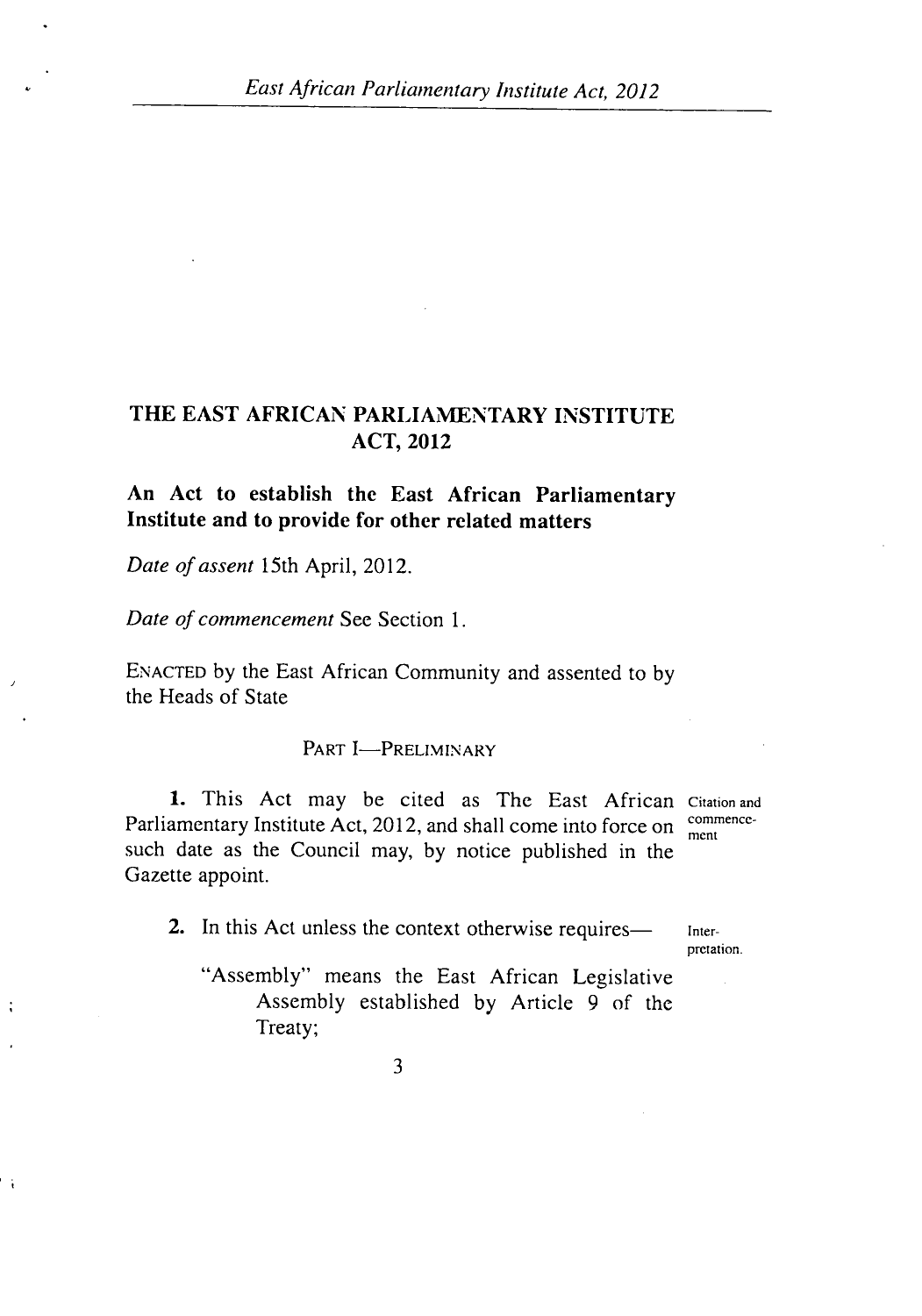# THE EAST AFRICAN PARLIAMENTARY INSTITUTE **ACT, 2012**

# **An Act to establish the East African Parliamentary Institute and to provide for other related matters**

*Date of assent* 15th April, 2012.

 $\ddot{\cdot}$ 

 $\ddot{\phantom{1}}$ 

*Date of commencement* See Section 1.

ENACTED by the East African Community and assented to by the Heads of State

PART **I**-PRELIMINARY

1. This Act may be cited as The East African Citation and Parliamentary Institute Act, 2012, and shall come into force on  $\frac{\text{commence}}{\text{ment}}$ such date as the Council may, by notice published in the Gazette appoint.

2. In this Act unless the context otherwise requires— Inter-

pretation.

"Assembly" means the East African Legislative Assembly established by Article 9 of the Treaty;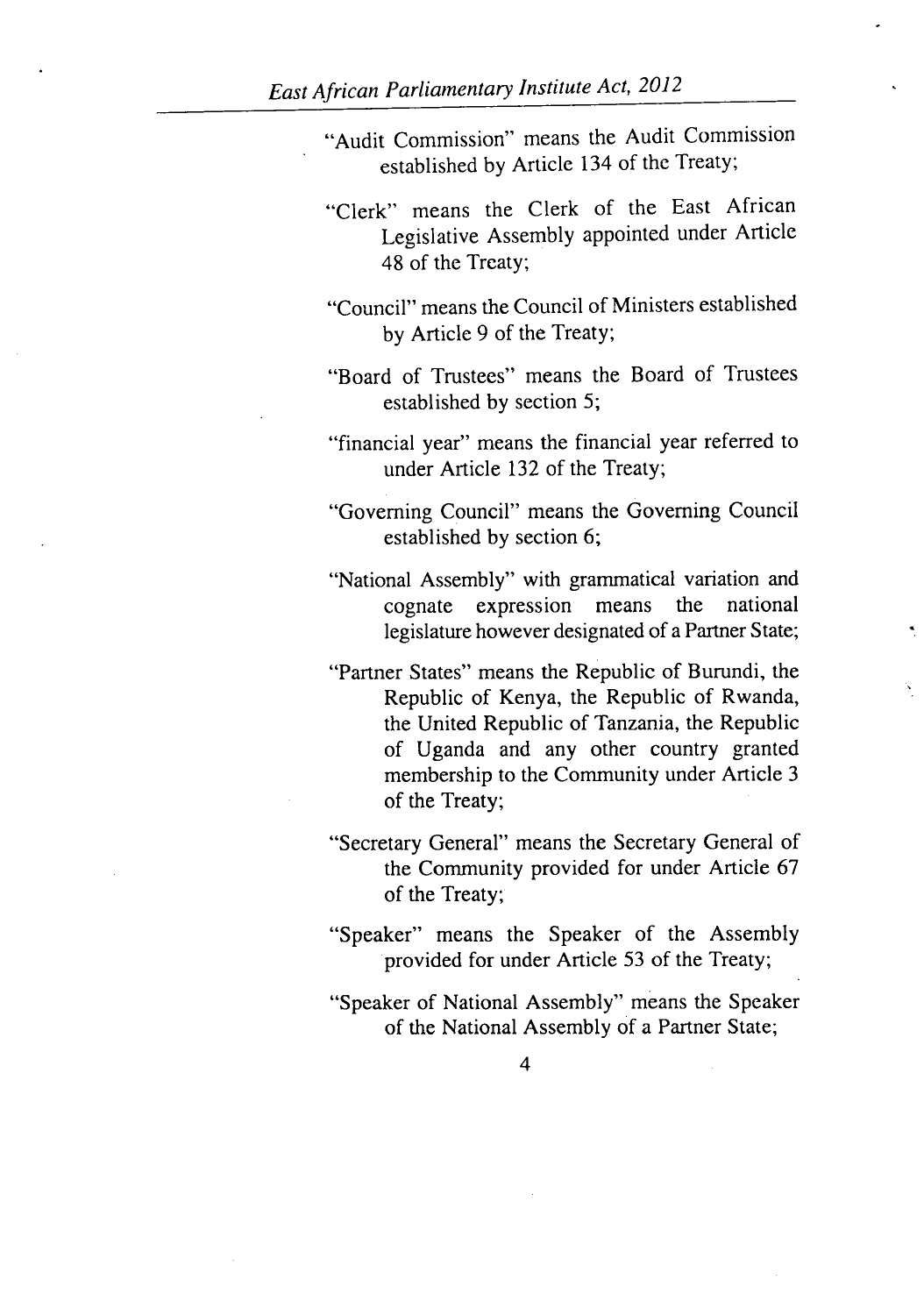- "Audit Commission" means the Audit Commission established by Article 134 of the Treaty;
- "Clerk" means the Clerk of the East African Legislative Assembly appointed under Article 48 of the Treaty;
- "Council" means the Council of Ministers established by Article 9 of the Treaty;
- "Board of Trustees" means the Board of Trustees established by section 5;
- "financial year" means the financial year referred to under Article 132 of the Treaty;
- "Governing Council" means the Governing Council established by section 6;
- "National Assembly" with grammatical variation and cognate expression means the national legislature however designated of a Partner State;
- "Partner States" means the Republic of Burundi, the Republic of Kenya, the Republic of Rwanda, the United Republic of Tanzania, the Republic of Uganda and any other country granted membership to the Community under Article 3 of the Treaty;
- "Secretary General" means the Secretary General of the Community provided for under Article 67 of the Treaty;
- "Speaker" means the Speaker of the Assembly provided for under Article 53 of the Treaty;
- "Speaker of National Assembly" means the Speaker of the National Assembly of a Partner State;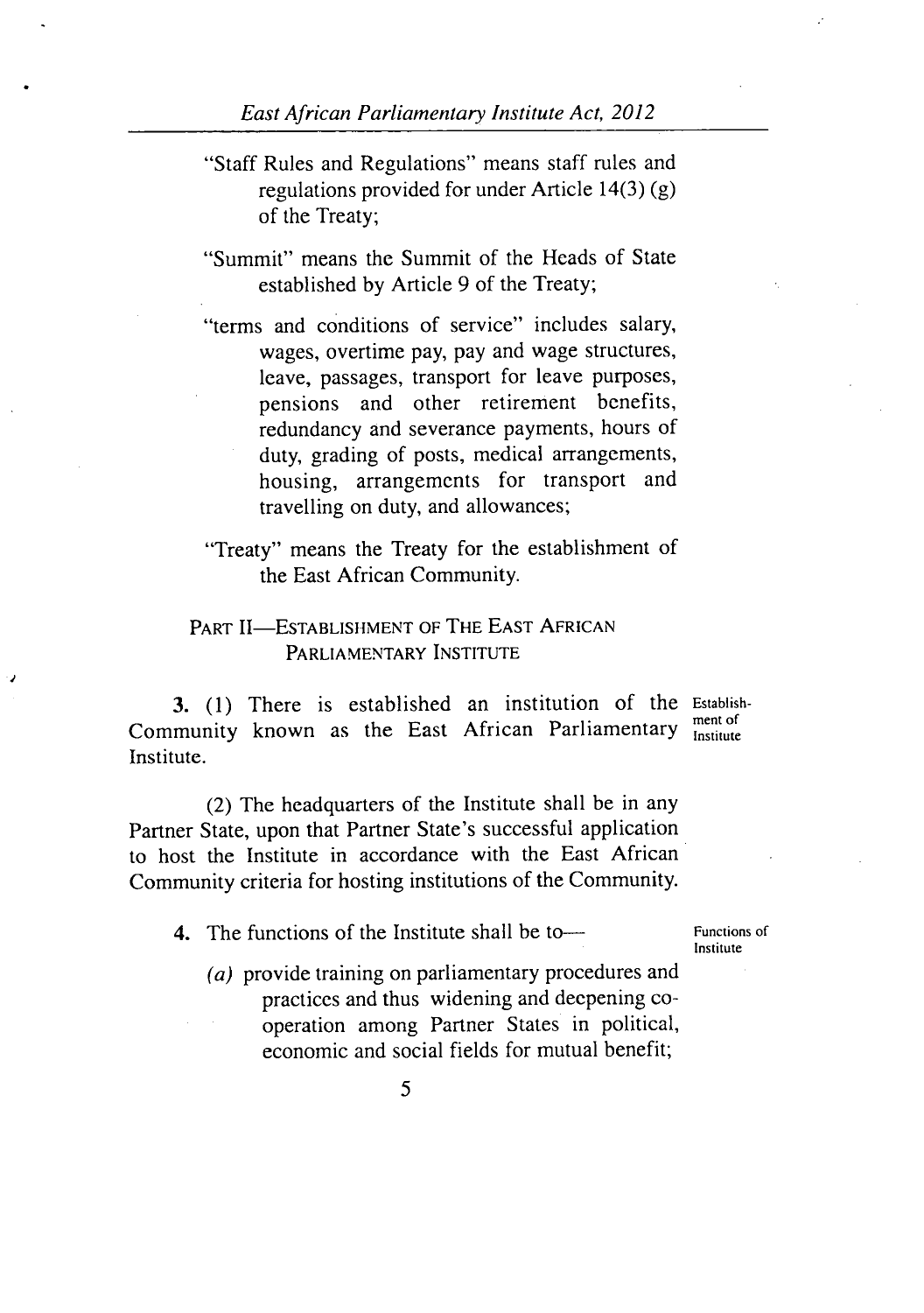- *"Staff* Rules and Regulations" means staff rules and regulations provided for under Article 14(3) (g) of the Treaty;
- "Summit" means the Summit of the Heads of State established by Article 9 of the Treaty;
- "terms and conditions of service" includes salary, wages, overtime pay, pay and wage structures, leave, passages, transport for leave purposes, pensions and other retirement benefits, redundancy and severance payments, hours of duty, grading of posts, medical arrangements, housing, arrangements for transport and travelling on duty, and allowances;
- "Treaty" means the Treaty for the establishment of the East African Community.

## PART II-ESTABLISHMENT OF THE EAST AFRICAN PARLIAMENTARY INSTITUTE

(1) There is established an institution of the Establish-Community known as the East African Parliamentary Institute Institute.

(2) The headquarters of the Institute shall be in any Partner State, upon that Partner State's successful application to host the Institute in accordance with the East African Community criteria for hosting institutions of the Community.

- 4. The functions of the Institute shall be to— Functions of
	- Institute
	- *(a)* provide training on parliamentary procedures and practices and thus widening and deepening cooperation among Partner States in political, economic and social fields for mutual benefit;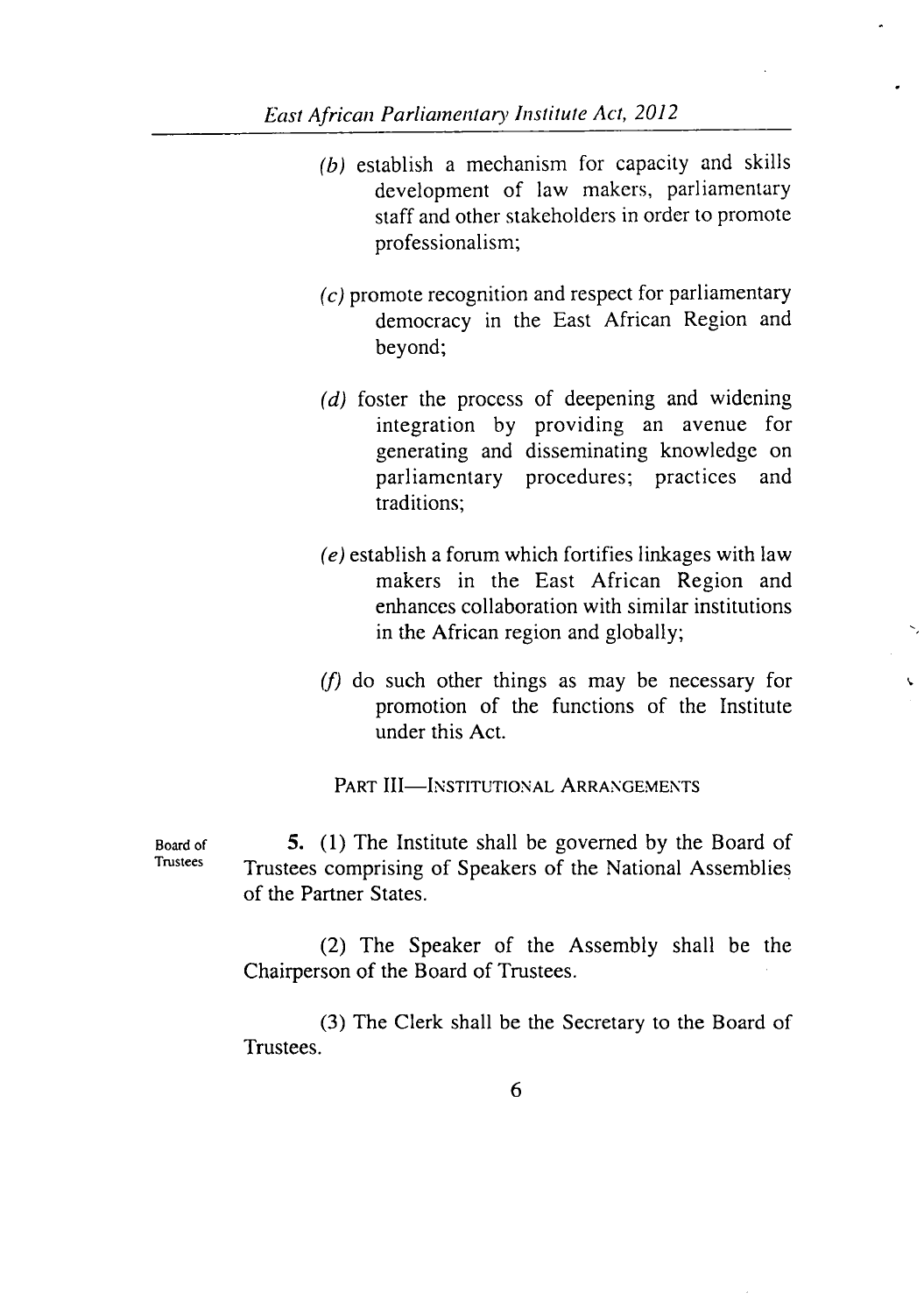- $(b)$  establish a mechanism for capacity and skills development of law makers, parliamentary staff and other stakeholders in order to promote professionalism;
- $\epsilon$ ) promote recognition and respect for parliamentary democracy in the East African Region and beyond;
- $(d)$  foster the process of deepening and widening integration by providing an avenue for generating and disseminating knowledge on parliamentary procedures; practices and traditions;
- $(e)$  establish a forum which fortifies linkages with law makers in the East African Region and enhances collaboration with similar institutions in the African region and globally;
- $(f)$  do such other things as may be necessary for promotion of the functions of the Institute under this Act.

 $\epsilon$ 

PART III-INSTITUTIONAL ARRANGEMENTS

Board of  $\frac{5}{5}$ . (1) The Institute shall be governed by the Board of Tustees Trustees comprising of Speakers of the National Assemblies of the Partner States.

> (2) The Speaker of the Assembly shall be the Chairperson of the Board of Trustees.

> (3) The Clerk shall be the Secretary to the Board of Trustees.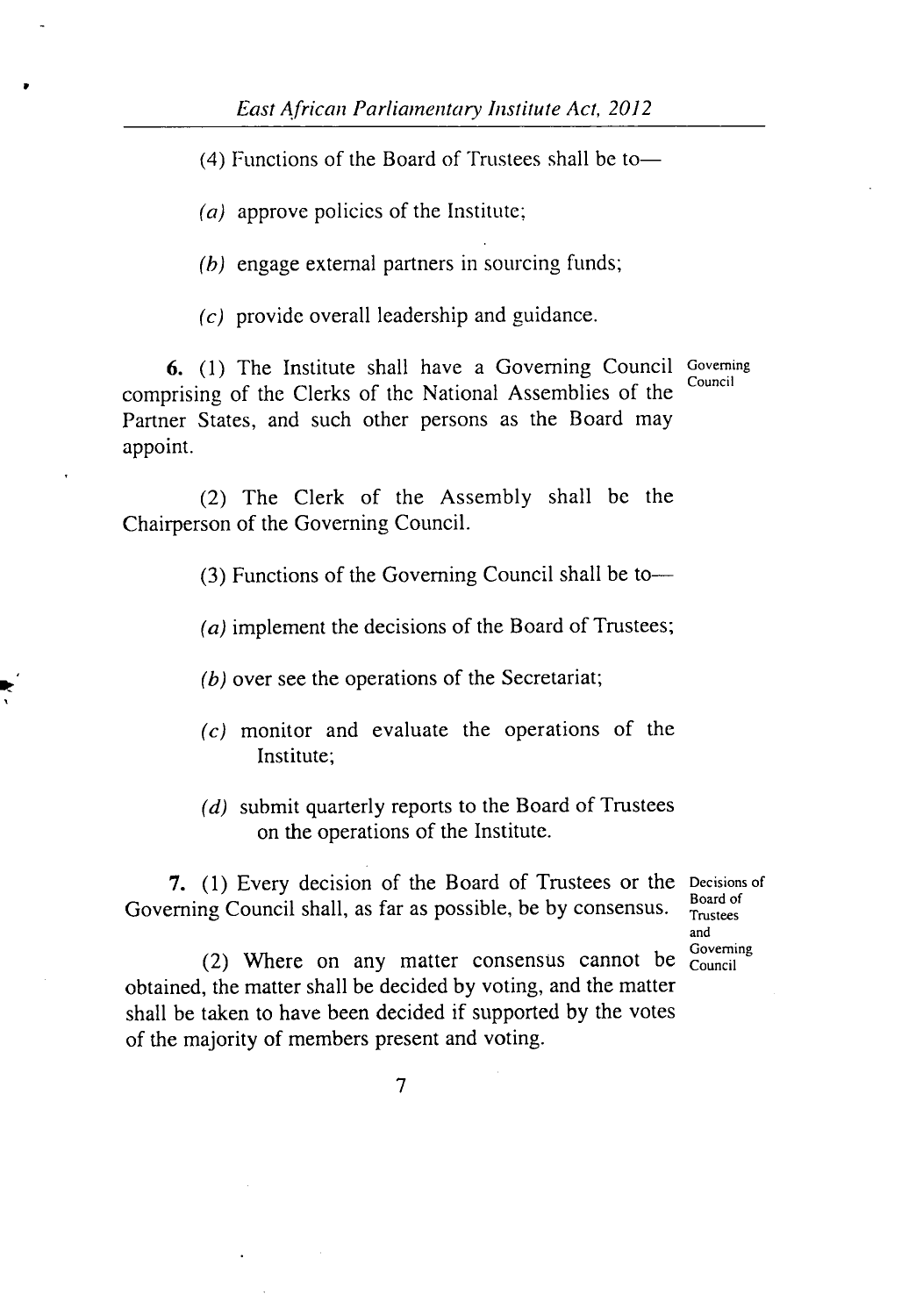$(4)$  Functions of the Board of Trustees shall be to-

(a) approve policies of the Institute;

*(h)* engage external partners in sourcing funds;

*(c)* provide overall leadership and guidance.

6. (1) The Institute shall have a Governing Council Governing comprising of the Clerks of the National Assemblies of the Partner States, and such other persons as the Board may appoint.

(2) The Clerk of the Assembly shall be the Chairperson of the Governing Council.

(3) Functions of the Governing Council shall be to-

(a) implement the decisions of the Board of Trustees;

(b) over see the operations of the Secretariat;

- $(c)$  monitor and evaluate the operations of the Institute;
- $(d)$  submit quarterly reports to the Board of Trustees on the operations of the Institute.

7. (1) Every decision of the Board of Trustees or the Decisions of Governing Council shall, as far as possible, be by consensus.  $\frac{100000}{T_{\text{nustees}}}$ 

and<br>Governing

(2) Where on any matter consensus cannot be  $\frac{3}{\text{Count}}$ obtained, the matter shall be decided by voting, and the matter shall be taken to have been decided if supported by the votes of the majority of members present and voting.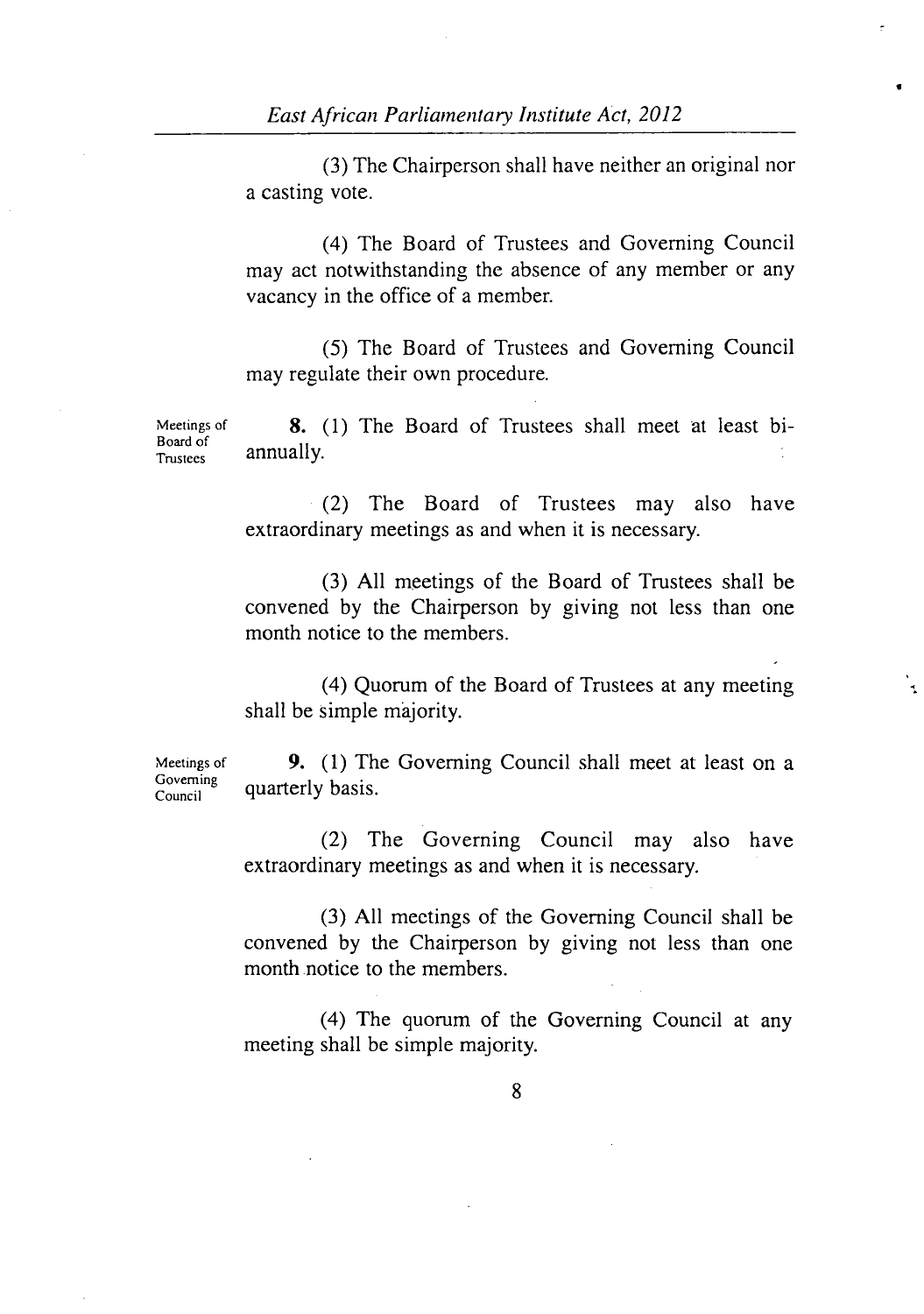(3) The Chairperson shall have neither an original nor a casting vote.

I

(4) The Board of Trustees and Governing Council may act notwithstanding the absence of any member or any vacancy in the office of a member.

(5) The Board of Trustees and Governing Council may regulate their own procedure.

Meetings of 8. (1) The Board of Trustees shall meet at least bi-Board of<br>Trustees annually.

> (2) The Board of Trustees may also have extraordinary meetings as and when it is necessary.

> All meetings of the Board of Trustees shall be convened by the Chairperson by giving not less than one month notice to the members.

> Quorum of the Board of Trustees at any meeting shall be simple majority.

Governing

Meetings of **9.** (1) The Governing Council shall meet at least on a quarterly basis.

> (2) The Governing Council may also have extraordinary meetings as and when it is necessary.

> All meetings of the Governing Council shall be convened by the Chairperson by giving not less than one month notice to the members.

> (4) The quorum of the Governing Council at any meeting shall be simple majority.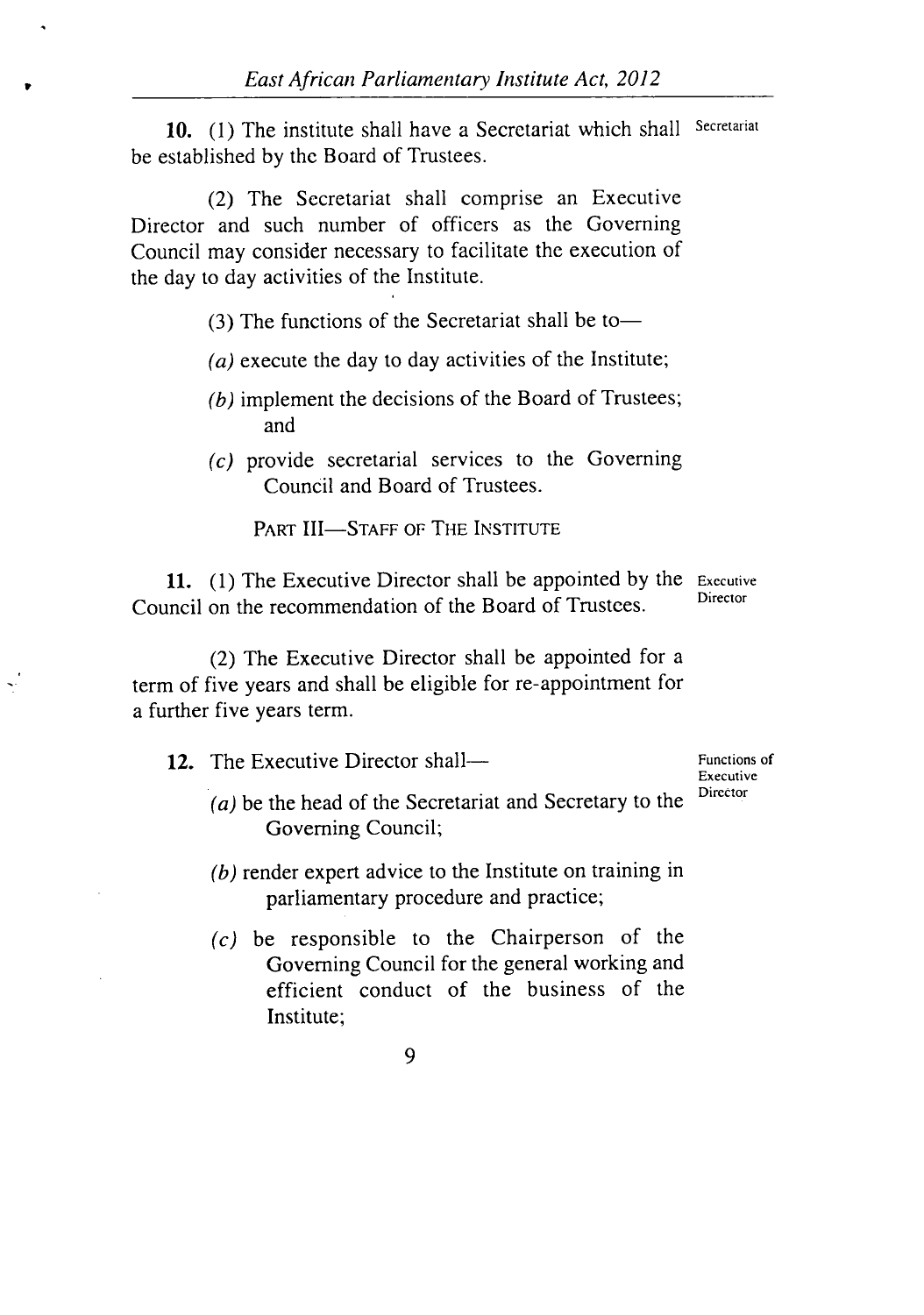10. (1) The institute shall have a Secretariat which shall Secretariat be established by the Board of Trustees.

(2) The Secretariat shall comprise an Executive Director and such number of officers as the Governing Council may consider necessary to facilitate the execution of the day to day activities of the Institute.

 $(3)$  The functions of the Secretariat shall be to-

- (a) execute the day to day activities of the Institute;
- $(b)$  implement the decisions of the Board of Trustees; and
- $(c)$  provide secretarial services to the Governing Council and Board of Trustees.

PART III-STAFF OF THE INSTITUTE

11. (1) The Executive Director shall be appointed by the  $E_{\text{recutive}}$ Council on the recommendation of the Board of Trustees.

(2) The Executive Director shall be appointed for a term of five years and shall be eligible for re-appointment for a further five years term.

| <b>12.</b> The Executive Director shall—                  | Functions of<br>Executive |
|-----------------------------------------------------------|---------------------------|
| $(a)$ be the head of the Secretariat and Secretary to the | Director                  |
| Governing Council;                                        |                           |

- $\mu$ ) render expert advice to the Institute on training in parliamentary procedure and practice;
- $(c)$  be responsible to the Chairperson of the Governing Council for the general working and efficient conduct of the business of the Institute;

9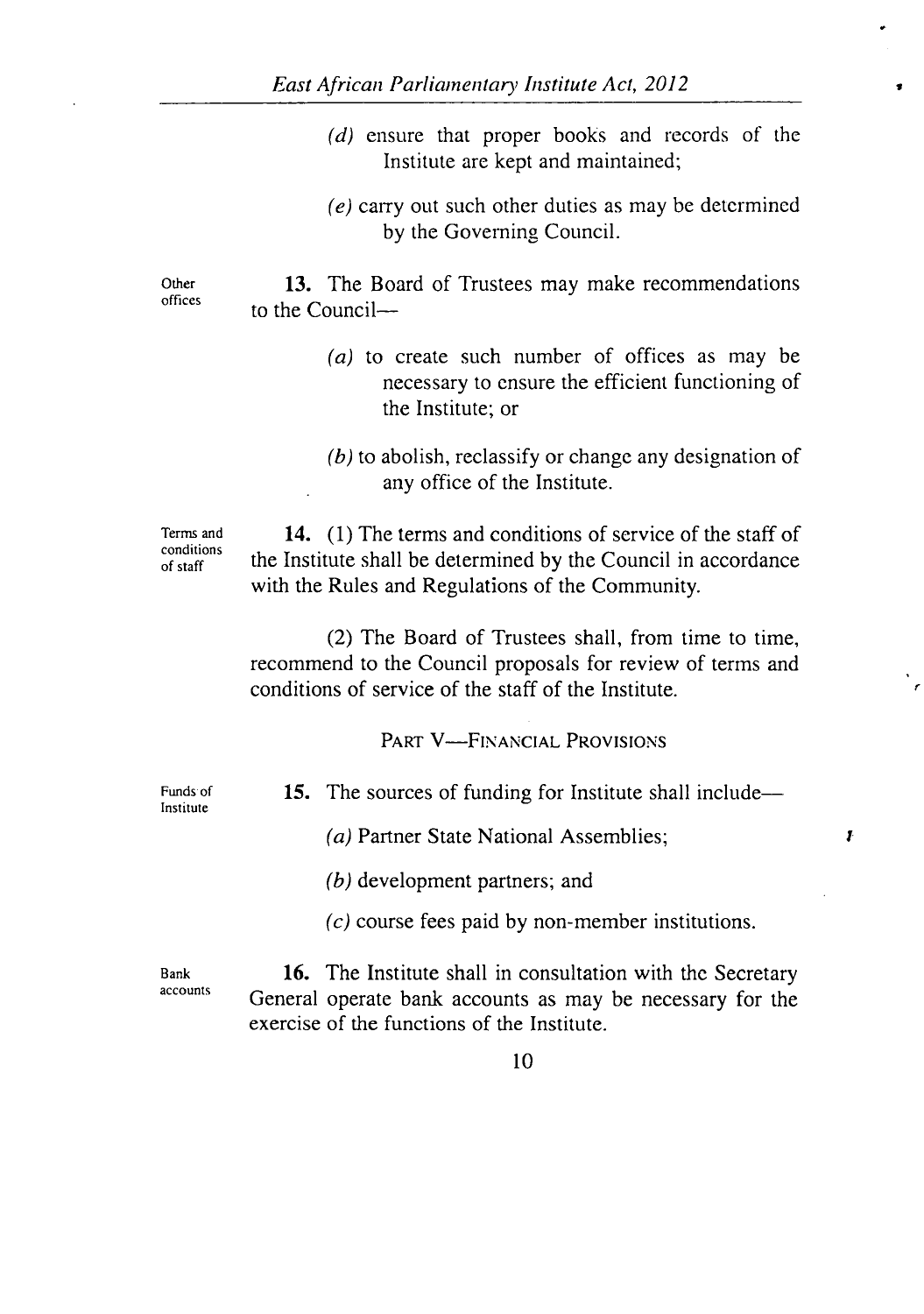$(d)$  ensure that proper books and records of the Institute are kept and maintained;

 $\bullet$ 

 $(e)$  carry out such other duties as may be determined by the Governing Council.

Other **13.** The Board of Trustees may make recommendations offices to the Council-

- (a) to create such number of offices as may be necessary to ensure the efficient functioning of the Institute; or
- $(b)$  to abolish, reclassify or change any designation of any office of the Institute.

Terms and  $\frac{14.}{1}$  (1) The terms and conditions of service of the staff of  $\frac{1}{\text{of staff}}$  the Institute shall be determined by the Council in accordance with the Rules and Regulations of the Community.

> (2) The Board of Trustees shall, from time to time, recommend to the Council proposals for review of terms and conditions of service of the staff of the Institute.

> > PART V—FINANCIAL PROVISIONS

Institute

Funds of **15.** The sources of funding for Institute shall include—

(a) Partner State National Assemblies;  $\boldsymbol{I}$ 

 $(b)$  development partners; and

 $(c)$  course fees paid by non-member institutions.

Bank **16.** The Institute shall in consultation with the Secretary accounts General operate bank accounts as may be necessary for the exercise of the functions of the Institute.

10